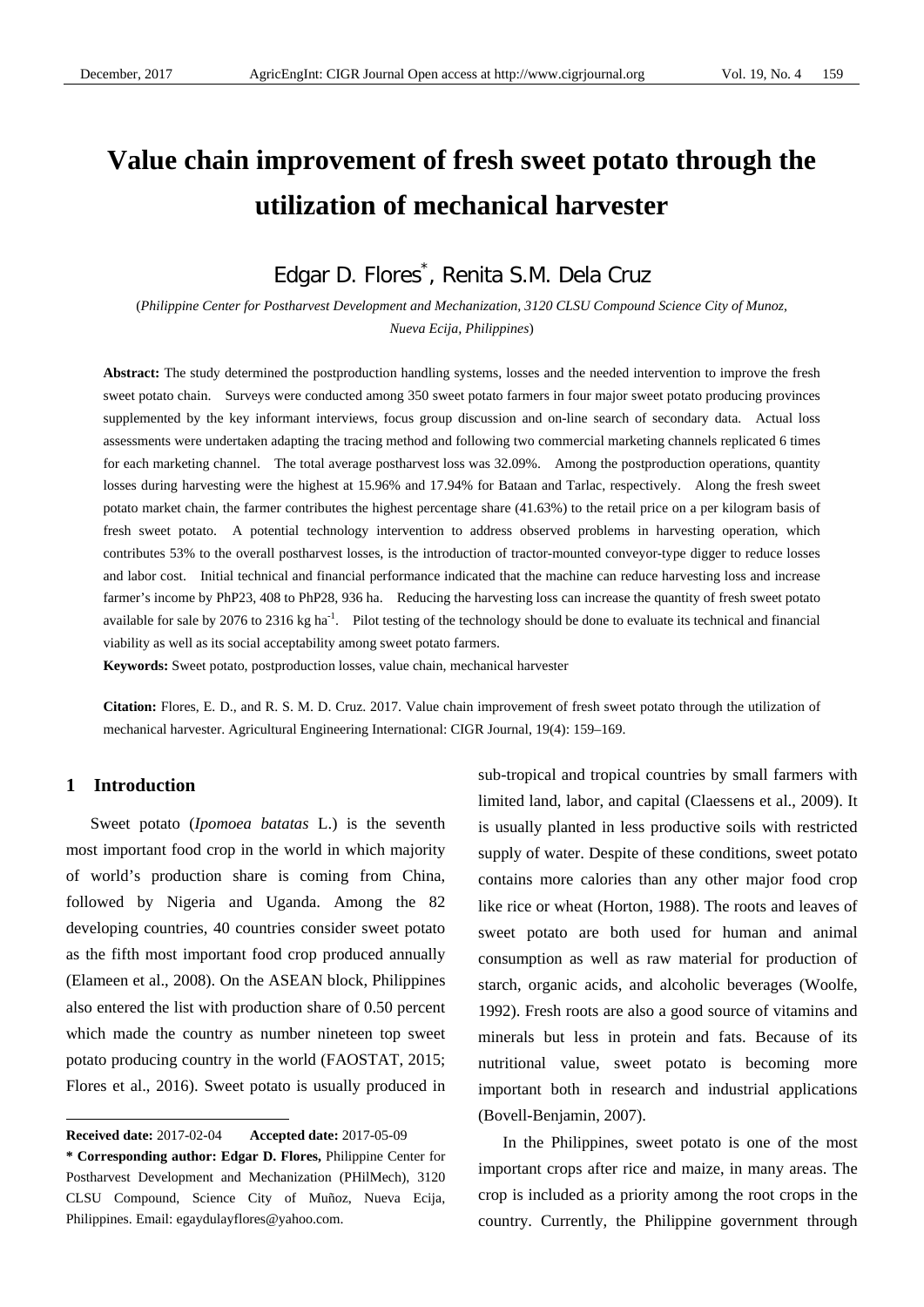# **Value chain improvement of fresh sweet potato through the utilization of mechanical harvester**

Edgar D. Flores<sup>\*</sup>, Renita S.M. Dela Cruz

(*Philippine Center for Postharvest Development and Mechanization, 3120 CLSU Compound Science City of Munoz, Nueva Ecija, Philippines*)

**Abstract:** The study determined the postproduction handling systems, losses and the needed intervention to improve the fresh sweet potato chain. Surveys were conducted among 350 sweet potato farmers in four major sweet potato producing provinces supplemented by the key informant interviews, focus group discussion and on-line search of secondary data. Actual loss assessments were undertaken adapting the tracing method and following two commercial marketing channels replicated 6 times for each marketing channel. The total average postharvest loss was 32.09%. Among the postproduction operations, quantity losses during harvesting were the highest at 15.96% and 17.94% for Bataan and Tarlac, respectively. Along the fresh sweet potato market chain, the farmer contributes the highest percentage share (41.63%) to the retail price on a per kilogram basis of fresh sweet potato. A potential technology intervention to address observed problems in harvesting operation, which contributes 53% to the overall postharvest losses, is the introduction of tractor-mounted conveyor-type digger to reduce losses and labor cost. Initial technical and financial performance indicated that the machine can reduce harvesting loss and increase farmer's income by PhP23, 408 to PhP28, 936 ha. Reducing the harvesting loss can increase the quantity of fresh sweet potato available for sale by 2076 to 2316 kg ha<sup>-1</sup>. Pilot testing of the technology should be done to evaluate its technical and financial viability as well as its social acceptability among sweet potato farmers.

**Keywords:** Sweet potato, postproduction losses, value chain, mechanical harvester

**Citation:** Flores, E. D., and R. S. M. D. Cruz. 2017. Value chain improvement of fresh sweet potato through the utilization of mechanical harvester. Agricultural Engineering International: CIGR Journal, 19(4): 159–169.

#### **1 Introduction**

 $\overline{a}$ 

Sweet potato (*Ipomoea batatas* L.) is the seventh most important food crop in the world in which majority of world's production share is coming from China, followed by Nigeria and Uganda. Among the 82 developing countries, 40 countries consider sweet potato as the fifth most important food crop produced annually (Elameen et al., 2008). On the ASEAN block, Philippines also entered the list with production share of 0.50 percent which made the country as number nineteen top sweet potato producing country in the world (FAOSTAT, 2015; Flores et al., 2016). Sweet potato is usually produced in sub-tropical and tropical countries by small farmers with limited land, labor, and capital (Claessens et al., 2009). It is usually planted in less productive soils with restricted supply of water. Despite of these conditions, sweet potato contains more calories than any other major food crop like rice or wheat (Horton, 1988). The roots and leaves of sweet potato are both used for human and animal consumption as well as raw material for production of starch, organic acids, and alcoholic beverages (Woolfe, 1992). Fresh roots are also a good source of vitamins and minerals but less in protein and fats. Because of its nutritional value, sweet potato is becoming more important both in research and industrial applications (Bovell-Benjamin, 2007).

In the Philippines, sweet potato is one of the most important crops after rice and maize, in many areas. The crop is included as a priority among the root crops in the country. Currently, the Philippine government through

**Received date:** 2017-02-04 **Accepted date:** 2017-05-09

**<sup>\*</sup> Corresponding author: Edgar D. Flores,** Philippine Center for Postharvest Development and Mechanization (PHilMech), 3120 CLSU Compound, Science City of Muñoz, Nueva Ecija, Philippines. Email: egaydulayflores@yahoo.com.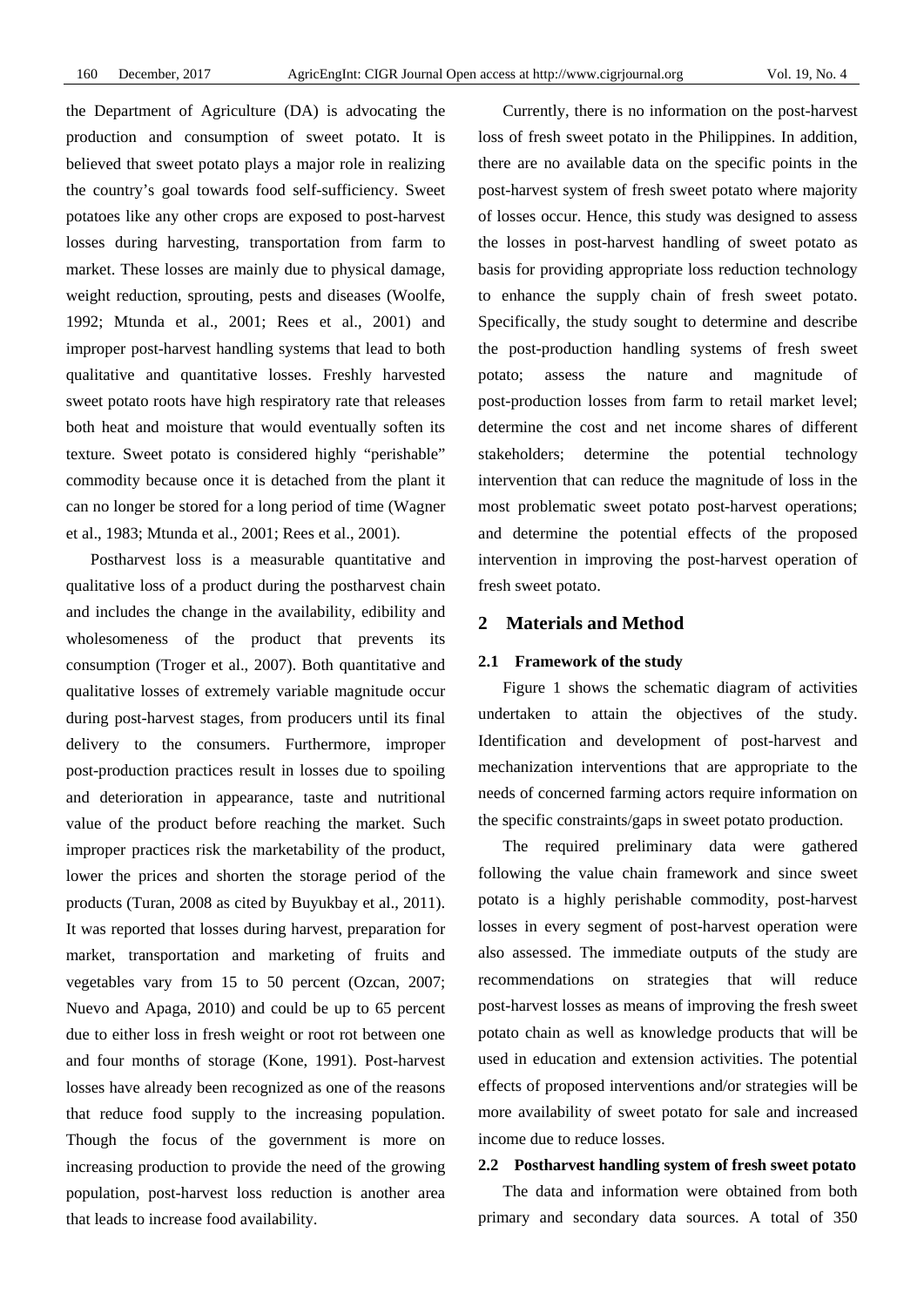the Department of Agriculture (DA) is advocating the production and consumption of sweet potato. It is believed that sweet potato plays a major role in realizing the country's goal towards food self-sufficiency. Sweet potatoes like any other crops are exposed to post-harvest losses during harvesting, transportation from farm to market. These losses are mainly due to physical damage, weight reduction, sprouting, pests and diseases (Woolfe, 1992; Mtunda et al., 2001; Rees et al., 2001) and improper post-harvest handling systems that lead to both qualitative and quantitative losses. Freshly harvested sweet potato roots have high respiratory rate that releases both heat and moisture that would eventually soften its texture. Sweet potato is considered highly "perishable" commodity because once it is detached from the plant it can no longer be stored for a long period of time (Wagner et al., 1983; Mtunda et al., 2001; Rees et al., 2001).

Postharvest loss is a measurable quantitative and qualitative loss of a product during the postharvest chain and includes the change in the availability, edibility and wholesomeness of the product that prevents its consumption (Troger et al., 2007). Both quantitative and qualitative losses of extremely variable magnitude occur during post-harvest stages, from producers until its final delivery to the consumers. Furthermore, improper post-production practices result in losses due to spoiling and deterioration in appearance, taste and nutritional value of the product before reaching the market. Such improper practices risk the marketability of the product, lower the prices and shorten the storage period of the products (Turan, 2008 as cited by Buyukbay et al., 2011). It was reported that losses during harvest, preparation for market, transportation and marketing of fruits and vegetables vary from 15 to 50 percent (Ozcan, 2007; Nuevo and Apaga, 2010) and could be up to 65 percent due to either loss in fresh weight or root rot between one and four months of storage (Kone, 1991). Post-harvest losses have already been recognized as one of the reasons that reduce food supply to the increasing population. Though the focus of the government is more on increasing production to provide the need of the growing population, post-harvest loss reduction is another area that leads to increase food availability.

Currently, there is no information on the post-harvest loss of fresh sweet potato in the Philippines. In addition, there are no available data on the specific points in the post-harvest system of fresh sweet potato where majority of losses occur. Hence, this study was designed to assess the losses in post-harvest handling of sweet potato as basis for providing appropriate loss reduction technology to enhance the supply chain of fresh sweet potato. Specifically, the study sought to determine and describe the post-production handling systems of fresh sweet potato; assess the nature and magnitude of post-production losses from farm to retail market level; determine the cost and net income shares of different stakeholders; determine the potential technology intervention that can reduce the magnitude of loss in the most problematic sweet potato post-harvest operations; and determine the potential effects of the proposed intervention in improving the post-harvest operation of fresh sweet potato.

#### **2 Materials and Method**

#### **2.1 Framework of the study**

Figure 1 shows the schematic diagram of activities undertaken to attain the objectives of the study. Identification and development of post-harvest and mechanization interventions that are appropriate to the needs of concerned farming actors require information on the specific constraints/gaps in sweet potato production.

The required preliminary data were gathered following the value chain framework and since sweet potato is a highly perishable commodity, post-harvest losses in every segment of post-harvest operation were also assessed. The immediate outputs of the study are recommendations on strategies that will reduce post-harvest losses as means of improving the fresh sweet potato chain as well as knowledge products that will be used in education and extension activities. The potential effects of proposed interventions and/or strategies will be more availability of sweet potato for sale and increased income due to reduce losses.

#### **2.2 Postharvest handling system of fresh sweet potato**

The data and information were obtained from both primary and secondary data sources. A total of 350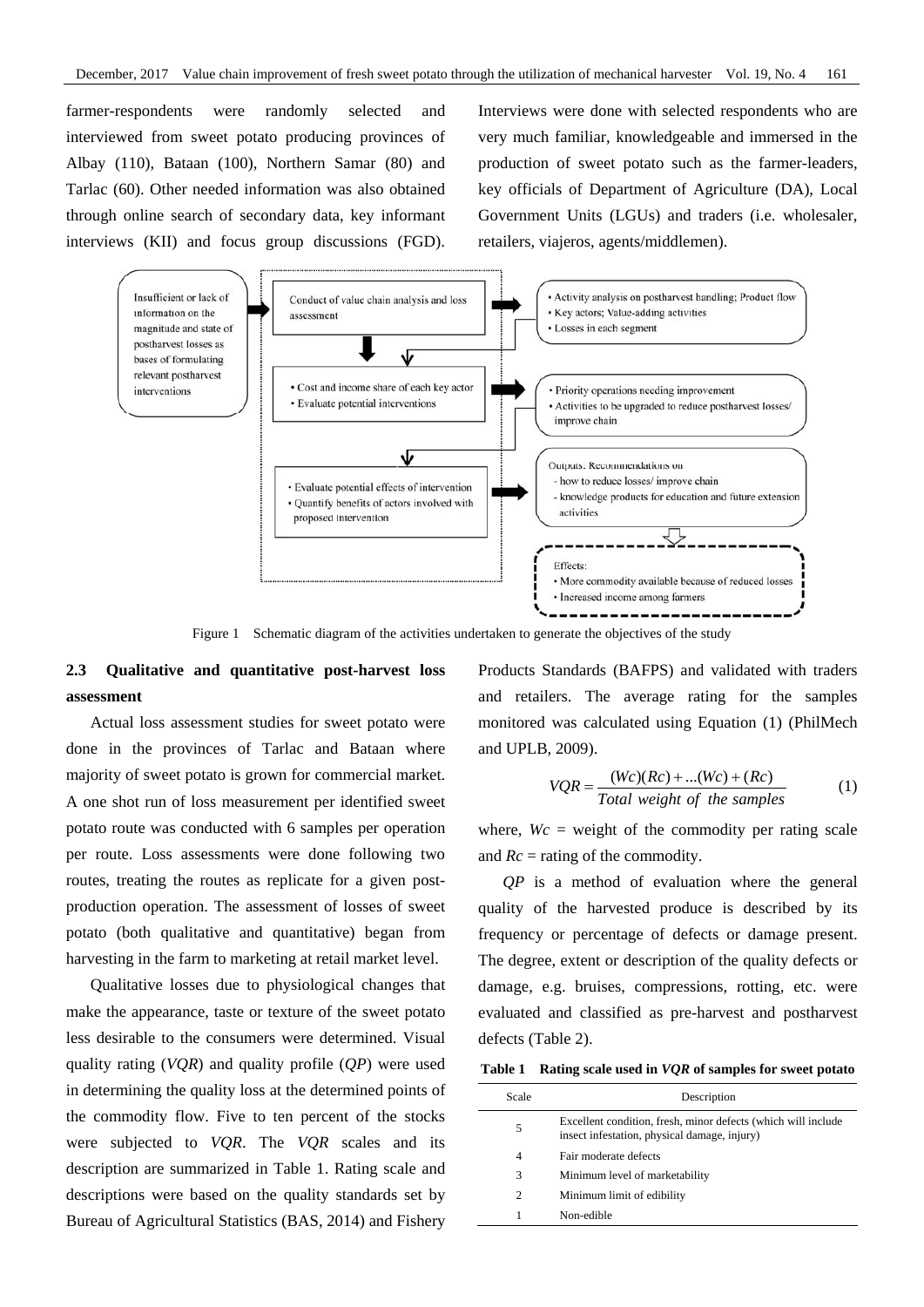farmer-respondents were randomly selected and interviewed from sweet potato producing provinces of Albay (110), Bataan (100), Northern Samar (80) and Tarlac (60). Other needed information was also obtained through online search of secondary data, key informant interviews (KII) and focus group discussions (FGD). Interviews were done with selected respondents who are very much familiar, knowledgeable and immersed in the production of sweet potato such as the farmer-leaders, key officials of Department of Agriculture (DA), Local Government Units (LGUs) and traders (i.e. wholesaler, retailers, viajeros, agents/middlemen).



Figure 1 Schematic diagram of the activities undertaken to generate the objectives of the study

# **2.3 Qualitative and quantitative post-harvest loss assessment**

Actual loss assessment studies for sweet potato were done in the provinces of Tarlac and Bataan where majority of sweet potato is grown for commercial market. A one shot run of loss measurement per identified sweet potato route was conducted with 6 samples per operation per route. Loss assessments were done following two routes, treating the routes as replicate for a given postproduction operation. The assessment of losses of sweet potato (both qualitative and quantitative) began from harvesting in the farm to marketing at retail market level.

Qualitative losses due to physiological changes that make the appearance, taste or texture of the sweet potato less desirable to the consumers were determined. Visual quality rating (*VQR*) and quality profile (*QP*) were used in determining the quality loss at the determined points of the commodity flow. Five to ten percent of the stocks were subjected to *VQR*. The *VQR* scales and its description are summarized in Table 1. Rating scale and descriptions were based on the quality standards set by Bureau of Agricultural Statistics (BAS, 2014) and Fishery

Products Standards (BAFPS) and validated with traders and retailers. The average rating for the samples monitored was calculated using Equation (1) (PhilMech and UPLB, 2009).

$$
VQR = \frac{(Wc)(Rc) + ... (Wc) + (Rc)}{Total weight of the samples}
$$
 (1)

where,  $Wc =$  weight of the commodity per rating scale and *Rc* = rating of the commodity.

*QP* is a method of evaluation where the general quality of the harvested produce is described by its frequency or percentage of defects or damage present. The degree, extent or description of the quality defects or damage, e.g. bruises, compressions, rotting, etc. were evaluated and classified as pre-harvest and postharvest defects (Table 2).

**Table 1 Rating scale used in** *VQR* **of samples for sweet potato** 

| Scale                       | Description                                                                                                   |
|-----------------------------|---------------------------------------------------------------------------------------------------------------|
| 5                           | Excellent condition, fresh, minor defects (which will include<br>insect infestation, physical damage, injury) |
| 4                           | Fair moderate defects                                                                                         |
| 3                           | Minimum level of marketability                                                                                |
| $\mathcal{D}_{\mathcal{L}}$ | Minimum limit of edibility                                                                                    |
|                             | Non-edible                                                                                                    |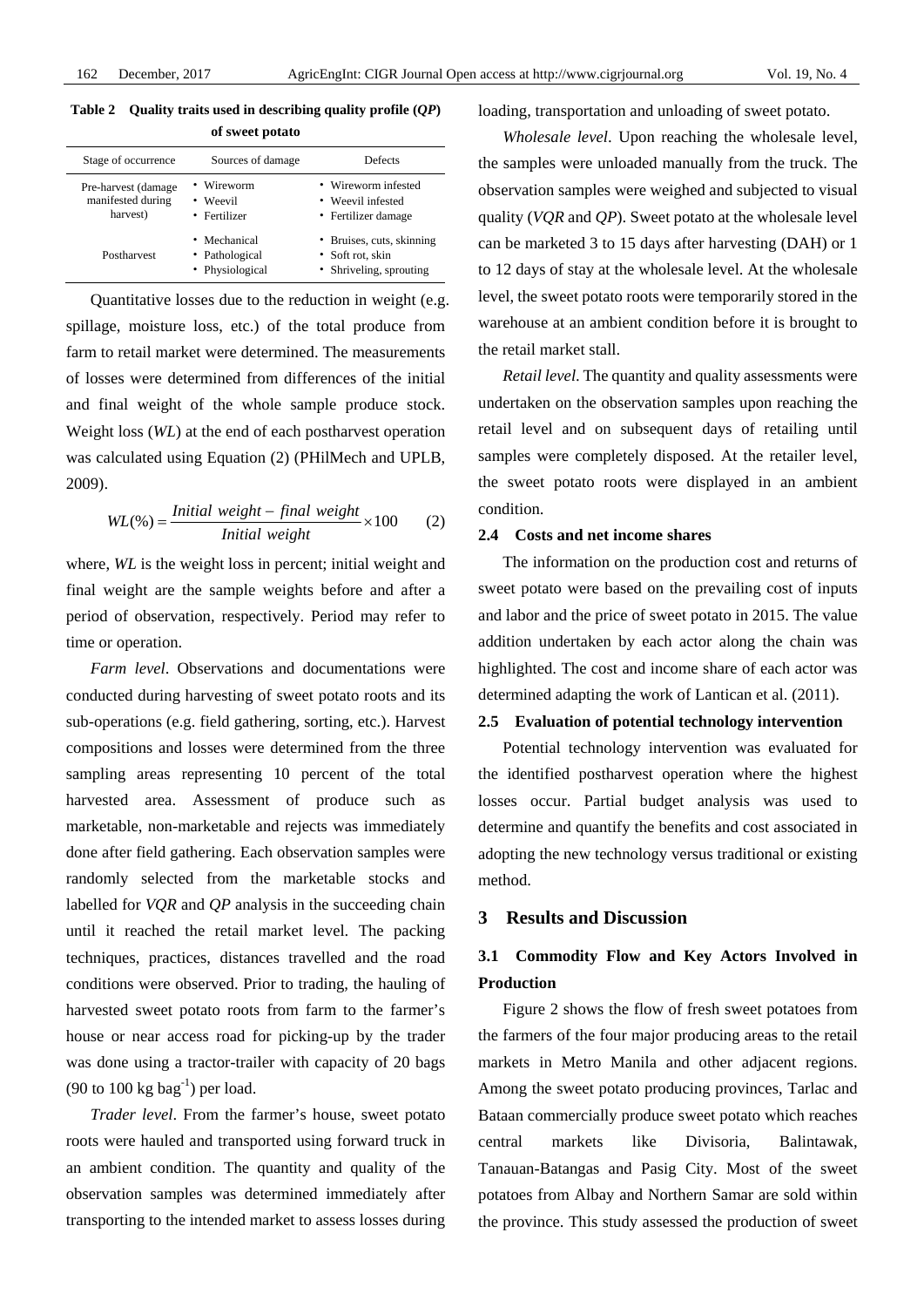| Table 2 Quality traits used in describing quality profile $(QP)$ |  |
|------------------------------------------------------------------|--|
| a Paramatan ng Kabupatèn                                         |  |

|                                                       | <b>OL SWEEL DOLATO</b>                            |                                                                          |
|-------------------------------------------------------|---------------------------------------------------|--------------------------------------------------------------------------|
| Stage of occurrence                                   | Sources of damage                                 | Defects                                                                  |
| Pre-harvest (damage)<br>manifested during<br>harvest) | • Wireworm<br>• Weevil<br>• Fertilizer            | • Wireworm infested<br>• Weevil infested<br>• Fertilizer damage          |
| Postharvest                                           | • Mechanical<br>• Pathological<br>• Physiological | • Bruises, cuts, skinning<br>• Soft rot, skin<br>• Shriveling, sprouting |

Quantitative losses due to the reduction in weight (e.g. spillage, moisture loss, etc.) of the total produce from farm to retail market were determined. The measurements of losses were determined from differences of the initial and final weight of the whole sample produce stock. Weight loss (*WL*) at the end of each postharvest operation was calculated using Equation (2) (PHilMech and UPLB, 2009).

$$
WL(\%) = \frac{Initial\ weight - final\ weight}{Initial\ weight} \times 100
$$
 (2)

where, *WL* is the weight loss in percent; initial weight and final weight are the sample weights before and after a period of observation, respectively. Period may refer to time or operation.

*Farm level*. Observations and documentations were conducted during harvesting of sweet potato roots and its sub-operations (e.g. field gathering, sorting, etc.). Harvest compositions and losses were determined from the three sampling areas representing 10 percent of the total harvested area. Assessment of produce such as marketable, non-marketable and rejects was immediately done after field gathering. Each observation samples were randomly selected from the marketable stocks and labelled for *VQR* and *QP* analysis in the succeeding chain until it reached the retail market level. The packing techniques, practices, distances travelled and the road conditions were observed. Prior to trading, the hauling of harvested sweet potato roots from farm to the farmer's house or near access road for picking-up by the trader was done using a tractor-trailer with capacity of 20 bags (90 to 100 kg bag<sup>-1</sup>) per load.

*Trader level*. From the farmer's house, sweet potato roots were hauled and transported using forward truck in an ambient condition. The quantity and quality of the observation samples was determined immediately after transporting to the intended market to assess losses during loading, transportation and unloading of sweet potato.

*Wholesale level*. Upon reaching the wholesale level, the samples were unloaded manually from the truck. The observation samples were weighed and subjected to visual quality (*VQR* and *QP*). Sweet potato at the wholesale level can be marketed 3 to 15 days after harvesting (DAH) or 1 to 12 days of stay at the wholesale level. At the wholesale level, the sweet potato roots were temporarily stored in the warehouse at an ambient condition before it is brought to the retail market stall.

*Retail level*. The quantity and quality assessments were undertaken on the observation samples upon reaching the retail level and on subsequent days of retailing until samples were completely disposed. At the retailer level, the sweet potato roots were displayed in an ambient condition.

#### **2.4 Costs and net income shares**

The information on the production cost and returns of sweet potato were based on the prevailing cost of inputs and labor and the price of sweet potato in 2015. The value addition undertaken by each actor along the chain was highlighted. The cost and income share of each actor was determined adapting the work of Lantican et al. (2011).

#### **2.5 Evaluation of potential technology intervention**

Potential technology intervention was evaluated for the identified postharvest operation where the highest losses occur. Partial budget analysis was used to determine and quantify the benefits and cost associated in adopting the new technology versus traditional or existing method.

## **3 Results and Discussion**

# **3.1 Commodity Flow and Key Actors Involved in Production**

Figure 2 shows the flow of fresh sweet potatoes from the farmers of the four major producing areas to the retail markets in Metro Manila and other adjacent regions. Among the sweet potato producing provinces, Tarlac and Bataan commercially produce sweet potato which reaches central markets like Divisoria, Balintawak, Tanauan-Batangas and Pasig City. Most of the sweet potatoes from Albay and Northern Samar are sold within the province. This study assessed the production of sweet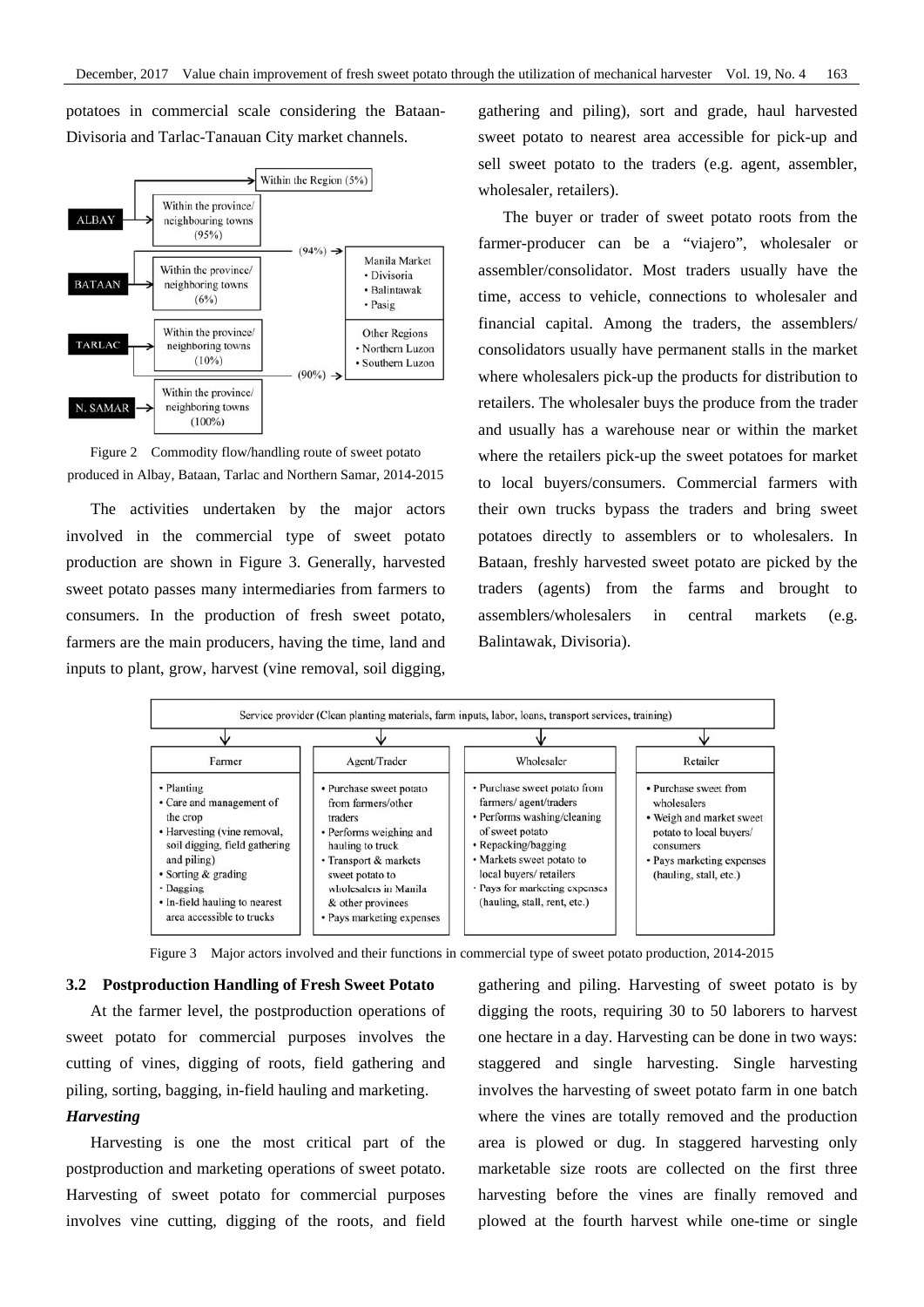potatoes in commercial scale considering the Bataan-Divisoria and Tarlac-Tanauan City market channels.



Figure 2 Commodity flow/handling route of sweet potato produced in Albay, Bataan, Tarlac and Northern Samar, 2014-2015

The activities undertaken by the major actors involved in the commercial type of sweet potato production are shown in Figure 3. Generally, harvested sweet potato passes many intermediaries from farmers to consumers. In the production of fresh sweet potato, farmers are the main producers, having the time, land and inputs to plant, grow, harvest (vine removal, soil digging, gathering and piling), sort and grade, haul harvested sweet potato to nearest area accessible for pick-up and sell sweet potato to the traders (e.g. agent, assembler, wholesaler, retailers).

The buyer or trader of sweet potato roots from the farmer-producer can be a "viajero", wholesaler or assembler/consolidator. Most traders usually have the time, access to vehicle, connections to wholesaler and financial capital. Among the traders, the assemblers/ consolidators usually have permanent stalls in the market where wholesalers pick-up the products for distribution to retailers. The wholesaler buys the produce from the trader and usually has a warehouse near or within the market where the retailers pick-up the sweet potatoes for market to local buyers/consumers. Commercial farmers with their own trucks bypass the traders and bring sweet potatoes directly to assemblers or to wholesalers. In Bataan, freshly harvested sweet potato are picked by the traders (agents) from the farms and brought to assemblers/wholesalers in central markets (e.g. Balintawak, Divisoria).



Figure 3 Major actors involved and their functions in commercial type of sweet potato production, 2014-2015

#### **3.2 Postproduction Handling of Fresh Sweet Potato**

At the farmer level, the postproduction operations of sweet potato for commercial purposes involves the cutting of vines, digging of roots, field gathering and piling, sorting, bagging, in-field hauling and marketing.

### *Harvesting*

Harvesting is one the most critical part of the postproduction and marketing operations of sweet potato. Harvesting of sweet potato for commercial purposes involves vine cutting, digging of the roots, and field gathering and piling. Harvesting of sweet potato is by digging the roots, requiring 30 to 50 laborers to harvest one hectare in a day. Harvesting can be done in two ways: staggered and single harvesting. Single harvesting involves the harvesting of sweet potato farm in one batch where the vines are totally removed and the production area is plowed or dug. In staggered harvesting only marketable size roots are collected on the first three harvesting before the vines are finally removed and plowed at the fourth harvest while one-time or single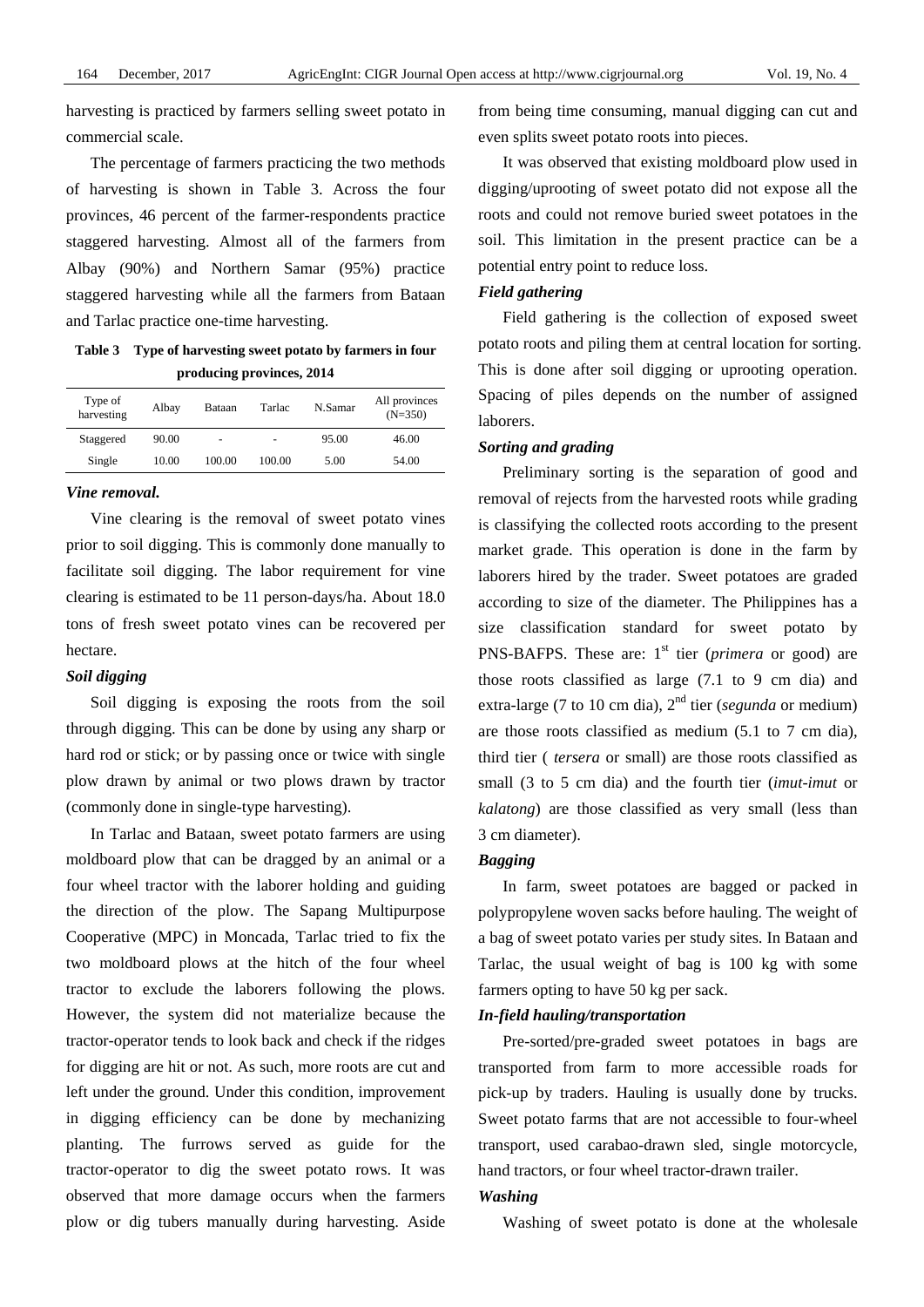harvesting is practiced by farmers selling sweet potato in commercial scale.

The percentage of farmers practicing the two methods of harvesting is shown in Table 3. Across the four provinces, 46 percent of the farmer-respondents practice staggered harvesting. Almost all of the farmers from Albay (90%) and Northern Samar (95%) practice staggered harvesting while all the farmers from Bataan and Tarlac practice one-time harvesting.

**Table 3 Type of harvesting sweet potato by farmers in four producing provinces, 2014** 

| Type of<br>harvesting | Albay | Bataan | Tarlac | N.Samar | All provinces<br>$(N=350)$ |
|-----------------------|-------|--------|--------|---------|----------------------------|
| Staggered             | 90.00 |        |        | 95.00   | 46.00                      |
| Single                | 10.00 | 100.00 | 100.00 | 5.00    | 54.00                      |

#### *Vine removal.*

Vine clearing is the removal of sweet potato vines prior to soil digging. This is commonly done manually to facilitate soil digging. The labor requirement for vine clearing is estimated to be 11 person-days/ha. About 18.0 tons of fresh sweet potato vines can be recovered per hectare.

#### *Soil digging*

Soil digging is exposing the roots from the soil through digging. This can be done by using any sharp or hard rod or stick; or by passing once or twice with single plow drawn by animal or two plows drawn by tractor (commonly done in single-type harvesting).

In Tarlac and Bataan, sweet potato farmers are using moldboard plow that can be dragged by an animal or a four wheel tractor with the laborer holding and guiding the direction of the plow. The Sapang Multipurpose Cooperative (MPC) in Moncada, Tarlac tried to fix the two moldboard plows at the hitch of the four wheel tractor to exclude the laborers following the plows. However, the system did not materialize because the tractor-operator tends to look back and check if the ridges for digging are hit or not. As such, more roots are cut and left under the ground. Under this condition, improvement in digging efficiency can be done by mechanizing planting. The furrows served as guide for the tractor-operator to dig the sweet potato rows. It was observed that more damage occurs when the farmers plow or dig tubers manually during harvesting. Aside

from being time consuming, manual digging can cut and even splits sweet potato roots into pieces.

It was observed that existing moldboard plow used in digging/uprooting of sweet potato did not expose all the roots and could not remove buried sweet potatoes in the soil. This limitation in the present practice can be a potential entry point to reduce loss.

#### *Field gathering*

Field gathering is the collection of exposed sweet potato roots and piling them at central location for sorting. This is done after soil digging or uprooting operation. Spacing of piles depends on the number of assigned laborers.

#### *Sorting and grading*

Preliminary sorting is the separation of good and removal of rejects from the harvested roots while grading is classifying the collected roots according to the present market grade. This operation is done in the farm by laborers hired by the trader. Sweet potatoes are graded according to size of the diameter. The Philippines has a size classification standard for sweet potato by PNS-BAFPS. These are:  $1<sup>st</sup>$  tier (*primera* or good) are those roots classified as large (7.1 to 9 cm dia) and extra-large (7 to 10 cm dia), 2nd tier (*segunda* or medium) are those roots classified as medium (5.1 to 7 cm dia), third tier ( *tersera* or small) are those roots classified as small (3 to 5 cm dia) and the fourth tier (*imut-imut* or *kalatong*) are those classified as very small (less than 3 cm diameter).

#### *Bagging*

In farm, sweet potatoes are bagged or packed in polypropylene woven sacks before hauling. The weight of a bag of sweet potato varies per study sites. In Bataan and Tarlac, the usual weight of bag is 100 kg with some farmers opting to have 50 kg per sack.

#### *In-field hauling/transportation*

Pre-sorted/pre-graded sweet potatoes in bags are transported from farm to more accessible roads for pick-up by traders. Hauling is usually done by trucks. Sweet potato farms that are not accessible to four-wheel transport, used carabao-drawn sled, single motorcycle, hand tractors, or four wheel tractor-drawn trailer.

#### *Washing*

Washing of sweet potato is done at the wholesale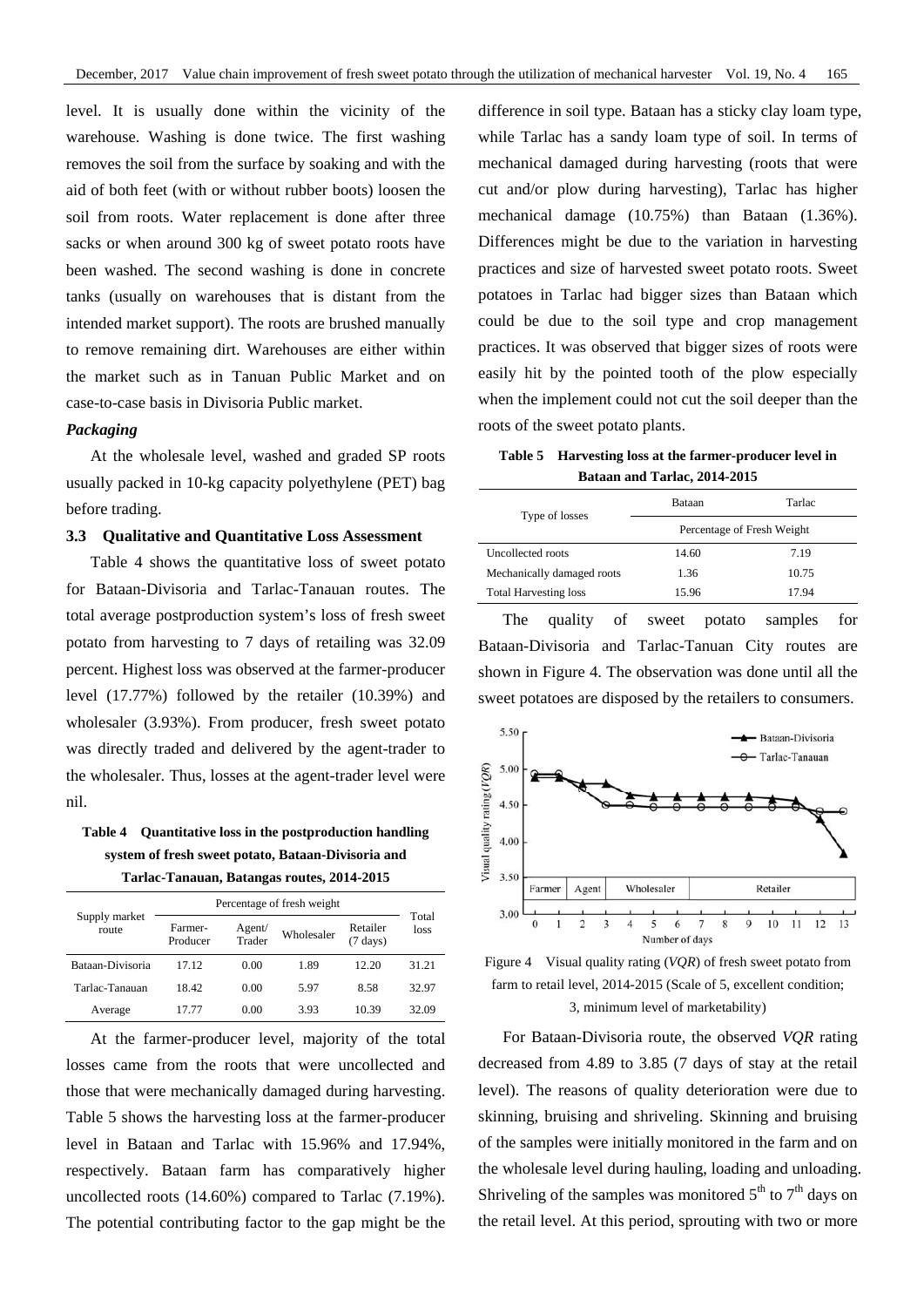level. It is usually done within the vicinity of the warehouse. Washing is done twice. The first washing removes the soil from the surface by soaking and with the aid of both feet (with or without rubber boots) loosen the soil from roots. Water replacement is done after three sacks or when around 300 kg of sweet potato roots have been washed. The second washing is done in concrete tanks (usually on warehouses that is distant from the intended market support). The roots are brushed manually to remove remaining dirt. Warehouses are either within the market such as in Tanuan Public Market and on case-to-case basis in Divisoria Public market.

#### *Packaging*

At the wholesale level, washed and graded SP roots usually packed in 10-kg capacity polyethylene (PET) bag before trading.

#### **3.3 Qualitative and Quantitative Loss Assessment**

Table 4 shows the quantitative loss of sweet potato for Bataan-Divisoria and Tarlac-Tanauan routes. The total average postproduction system's loss of fresh sweet potato from harvesting to 7 days of retailing was 32.09 percent. Highest loss was observed at the farmer-producer level (17.77%) followed by the retailer (10.39%) and wholesaler (3.93%). From producer, fresh sweet potato was directly traded and delivered by the agent-trader to the wholesaler. Thus, losses at the agent-trader level were nil.

**Table 4 Quantitative loss in the postproduction handling system of fresh sweet potato, Bataan-Divisoria and Tarlac-Tanauan, Batangas routes, 2014-2015** 

|                        | Percentage of fresh weight |                  |            |                                |               |
|------------------------|----------------------------|------------------|------------|--------------------------------|---------------|
| Supply market<br>route | Farmer-<br>Producer        | Agent/<br>Trader | Wholesaler | Retailer<br>$(7 \text{ days})$ | Total<br>loss |
| Bataan-Divisoria       | 17 12                      | 0.00             | 1.89       | 12.20                          | 31.21         |
| Tarlac-Tanauan         | 18.42                      | 0.00             | 5.97       | 8.58                           | 32.97         |
| Average                | 17 77                      | 0.00             | 3.93       | 10.39                          | 32.09         |

At the farmer-producer level, majority of the total losses came from the roots that were uncollected and those that were mechanically damaged during harvesting. Table 5 shows the harvesting loss at the farmer-producer level in Bataan and Tarlac with 15.96% and 17.94%, respectively. Bataan farm has comparatively higher uncollected roots (14.60%) compared to Tarlac (7.19%). The potential contributing factor to the gap might be the difference in soil type. Bataan has a sticky clay loam type, while Tarlac has a sandy loam type of soil. In terms of mechanical damaged during harvesting (roots that were cut and/or plow during harvesting), Tarlac has higher mechanical damage (10.75%) than Bataan (1.36%). Differences might be due to the variation in harvesting practices and size of harvested sweet potato roots. Sweet potatoes in Tarlac had bigger sizes than Bataan which could be due to the soil type and crop management practices. It was observed that bigger sizes of roots were easily hit by the pointed tooth of the plow especially when the implement could not cut the soil deeper than the roots of the sweet potato plants.

**Table 5 Harvesting loss at the farmer-producer level in Bataan and Tarlac, 2014-2015** 

| Type of losses               | Bataan                     | Tarlac |  |
|------------------------------|----------------------------|--------|--|
|                              | Percentage of Fresh Weight |        |  |
| Uncollected roots            | 14.60                      | 7.19   |  |
| Mechanically damaged roots   | 1.36                       | 10.75  |  |
| <b>Total Harvesting loss</b> | 15.96                      | 17.94  |  |
|                              |                            |        |  |

The quality of sweet potato samples for Bataan-Divisoria and Tarlac-Tanuan City routes are shown in Figure 4. The observation was done until all the sweet potatoes are disposed by the retailers to consumers.



Figure 4 Visual quality rating (*VQR*) of fresh sweet potato from farm to retail level, 2014-2015 (Scale of 5, excellent condition; 3, minimum level of marketability)

For Bataan-Divisoria route, the observed *VQR* rating decreased from 4.89 to 3.85 (7 days of stay at the retail level). The reasons of quality deterioration were due to skinning, bruising and shriveling. Skinning and bruising of the samples were initially monitored in the farm and on the wholesale level during hauling, loading and unloading. Shriveling of the samples was monitored  $5<sup>th</sup>$  to  $7<sup>th</sup>$  days on the retail level. At this period, sprouting with two or more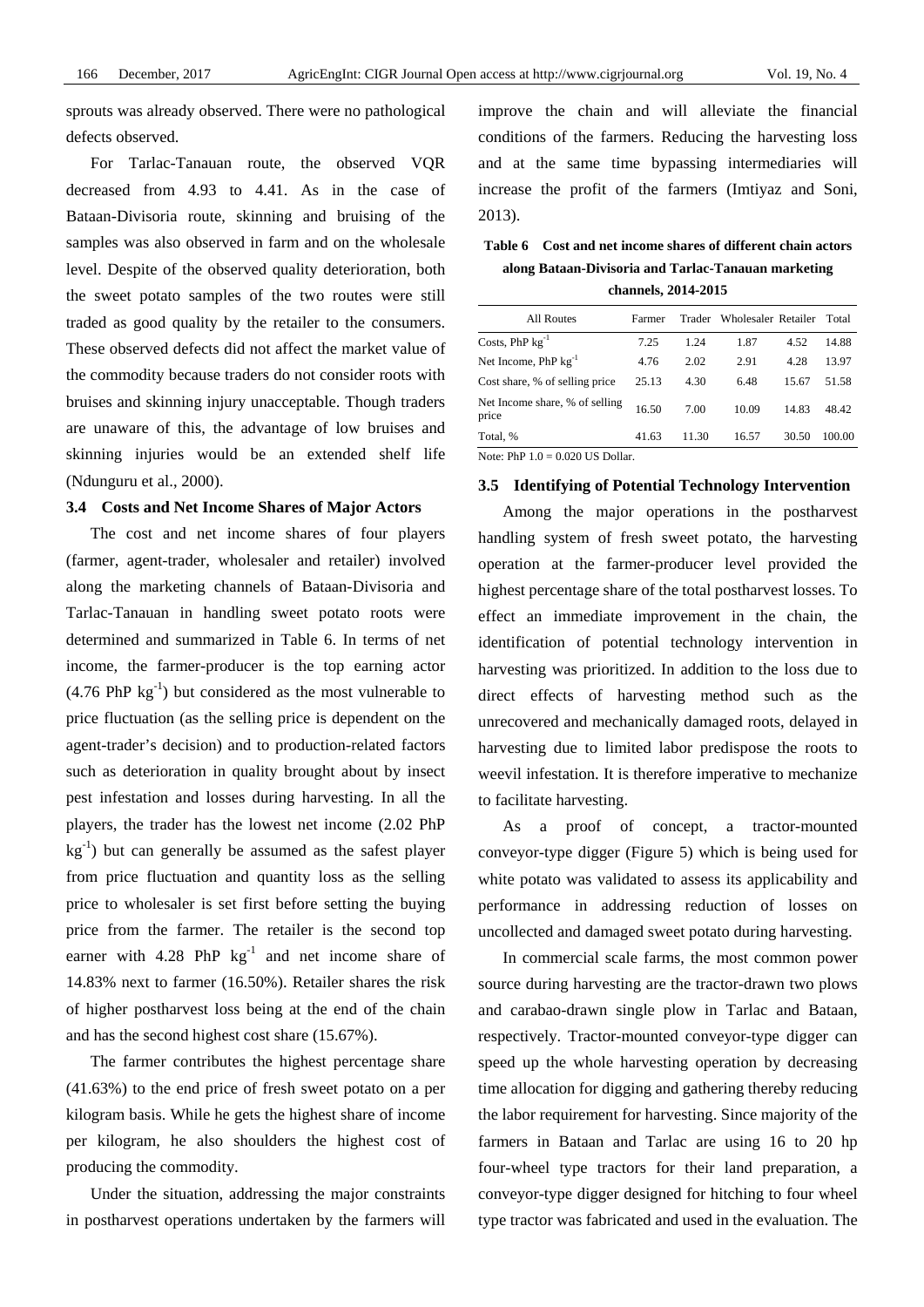sprouts was already observed. There were no pathological defects observed.

For Tarlac-Tanauan route, the observed VQR decreased from 4.93 to 4.41. As in the case of Bataan-Divisoria route, skinning and bruising of the samples was also observed in farm and on the wholesale level. Despite of the observed quality deterioration, both the sweet potato samples of the two routes were still traded as good quality by the retailer to the consumers. These observed defects did not affect the market value of the commodity because traders do not consider roots with bruises and skinning injury unacceptable. Though traders are unaware of this, the advantage of low bruises and skinning injuries would be an extended shelf life (Ndunguru et al., 2000).

#### **3.4 Costs and Net Income Shares of Major Actors**

The cost and net income shares of four players (farmer, agent-trader, wholesaler and retailer) involved along the marketing channels of Bataan-Divisoria and Tarlac-Tanauan in handling sweet potato roots were determined and summarized in Table 6. In terms of net income, the farmer-producer is the top earning actor  $(4.76 \text{ PhP kg}^{-1})$  but considered as the most vulnerable to price fluctuation (as the selling price is dependent on the agent-trader's decision) and to production-related factors such as deterioration in quality brought about by insect pest infestation and losses during harvesting. In all the players, the trader has the lowest net income (2.02 PhP  $kg^{-1}$ ) but can generally be assumed as the safest player from price fluctuation and quantity loss as the selling price to wholesaler is set first before setting the buying price from the farmer. The retailer is the second top earner with  $4.28$  PhP kg<sup>-1</sup> and net income share of 14.83% next to farmer (16.50%). Retailer shares the risk of higher postharvest loss being at the end of the chain and has the second highest cost share (15.67%).

The farmer contributes the highest percentage share (41.63%) to the end price of fresh sweet potato on a per kilogram basis. While he gets the highest share of income per kilogram, he also shoulders the highest cost of producing the commodity.

Under the situation, addressing the major constraints in postharvest operations undertaken by the farmers will improve the chain and will alleviate the financial conditions of the farmers. Reducing the harvesting loss and at the same time bypassing intermediaries will increase the profit of the farmers (Imtiyaz and Soni, 2013).

**Table 6 Cost and net income shares of different chain actors along Bataan-Divisoria and Tarlac-Tanauan marketing** 

|  | channels, 2014-2015 |
|--|---------------------|
|--|---------------------|

| All Routes                                                           | Farmer |       | Trader Wholesaler Retailer |       | Total  |  |
|----------------------------------------------------------------------|--------|-------|----------------------------|-------|--------|--|
| Costs, $PhP kg^{-1}$                                                 | 7.25   | 1.24  | 1.87                       | 4.52  | 14.88  |  |
| Net Income, $PhP kg^{-1}$                                            | 4.76   | 2.02  | 2.91                       | 4.28  | 13.97  |  |
| Cost share, % of selling price                                       | 25.13  | 4.30  | 6.48                       | 15.67 | 51.58  |  |
| Net Income share, % of selling<br>price                              | 16.50  | 7.00  | 10.09                      | 14.83 | 48.42  |  |
| Total, %                                                             | 41.63  | 11.30 | 16.57                      | 30.50 | 100.00 |  |
| $N_{\text{min}}$ , $DLD 1 \land \land \land O20$ He $D_{\text{min}}$ |        |       |                            |       |        |  |

Note: PhP  $1.0 = 0.020$  US Dollar

#### **3.5 Identifying of Potential Technology Intervention**

Among the major operations in the postharvest handling system of fresh sweet potato, the harvesting operation at the farmer-producer level provided the highest percentage share of the total postharvest losses. To effect an immediate improvement in the chain, the identification of potential technology intervention in harvesting was prioritized. In addition to the loss due to direct effects of harvesting method such as the unrecovered and mechanically damaged roots, delayed in harvesting due to limited labor predispose the roots to weevil infestation. It is therefore imperative to mechanize to facilitate harvesting.

As a proof of concept, a tractor-mounted conveyor-type digger (Figure 5) which is being used for white potato was validated to assess its applicability and performance in addressing reduction of losses on uncollected and damaged sweet potato during harvesting.

In commercial scale farms, the most common power source during harvesting are the tractor-drawn two plows and carabao-drawn single plow in Tarlac and Bataan, respectively. Tractor-mounted conveyor-type digger can speed up the whole harvesting operation by decreasing time allocation for digging and gathering thereby reducing the labor requirement for harvesting. Since majority of the farmers in Bataan and Tarlac are using 16 to 20 hp four-wheel type tractors for their land preparation, a conveyor-type digger designed for hitching to four wheel type tractor was fabricated and used in the evaluation. The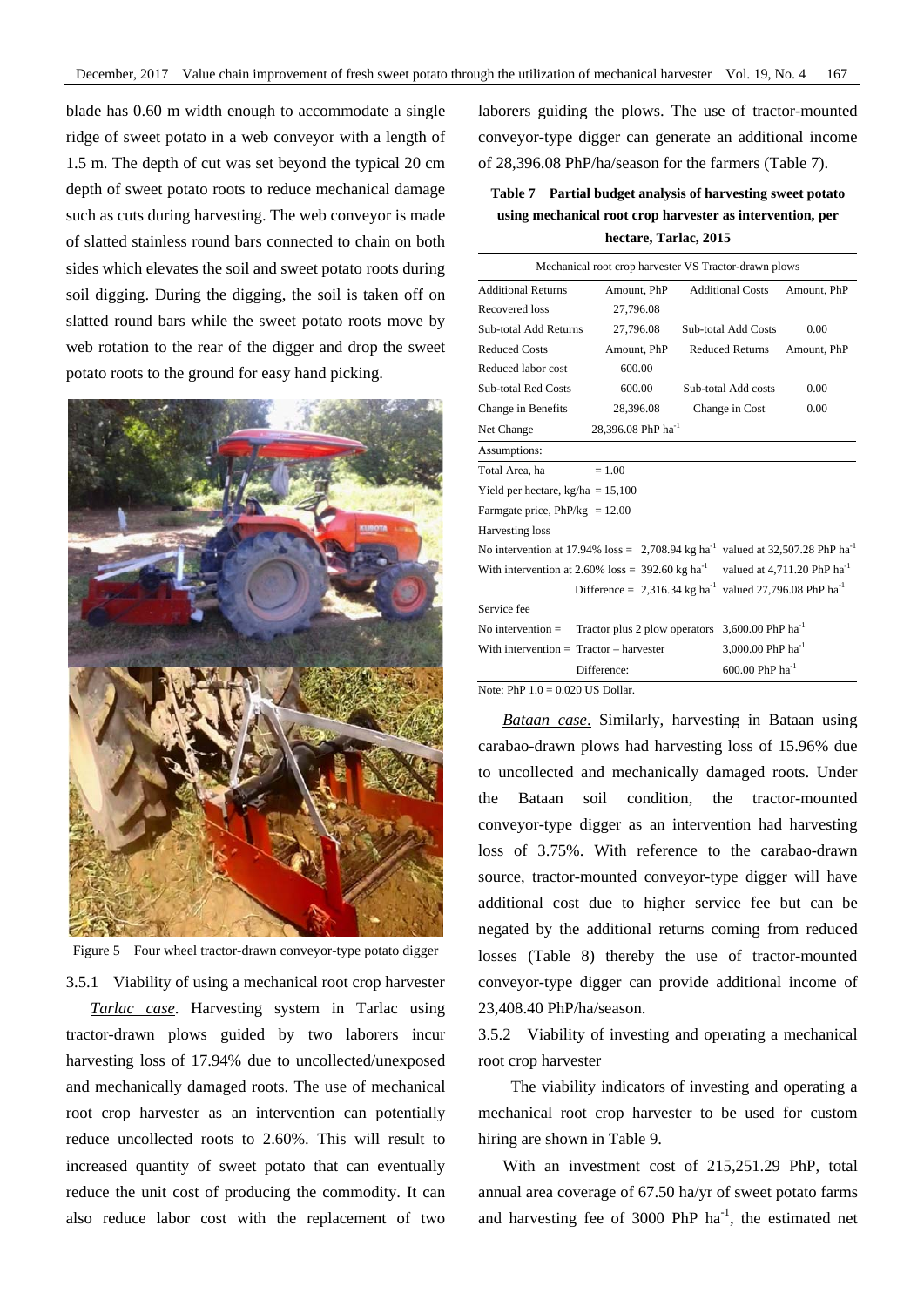blade has 0.60 m width enough to accommodate a single ridge of sweet potato in a web conveyor with a length of 1.5 m. The depth of cut was set beyond the typical 20 cm depth of sweet potato roots to reduce mechanical damage such as cuts during harvesting. The web conveyor is made of slatted stainless round bars connected to chain on both sides which elevates the soil and sweet potato roots during soil digging. During the digging, the soil is taken off on slatted round bars while the sweet potato roots move by web rotation to the rear of the digger and drop the sweet potato roots to the ground for easy hand picking.



Figure 5 Four wheel tractor-drawn conveyor-type potato digger

3.5.1 Viability of using a mechanical root crop harvester

*Tarlac case*. Harvesting system in Tarlac using tractor-drawn plows guided by two laborers incur harvesting loss of 17.94% due to uncollected/unexposed and mechanically damaged roots. The use of mechanical root crop harvester as an intervention can potentially reduce uncollected roots to 2.60%. This will result to increased quantity of sweet potato that can eventually reduce the unit cost of producing the commodity. It can also reduce labor cost with the replacement of two

laborers guiding the plows. The use of tractor-mounted conveyor-type digger can generate an additional income of 28,396.08 PhP/ha/season for the farmers (Table 7).

# **Table 7 Partial budget analysis of harvesting sweet potato using mechanical root crop harvester as intervention, per hectare, Tarlac, 2015**

| Mechanical root crop harvester VS Tractor-drawn plows                                                     |                                                                                 |                               |             |  |  |
|-----------------------------------------------------------------------------------------------------------|---------------------------------------------------------------------------------|-------------------------------|-------------|--|--|
| <b>Additional Returns</b>                                                                                 | Amount. PhP                                                                     | <b>Additional Costs</b>       | Amount, PhP |  |  |
| Recovered loss                                                                                            | 27,796.08                                                                       |                               |             |  |  |
| Sub-total Add Returns                                                                                     | 27,796.08                                                                       | <b>Sub-total Add Costs</b>    | 0.00        |  |  |
| <b>Reduced Costs</b>                                                                                      | Amount, PhP                                                                     | <b>Reduced Returns</b>        | Amount, PhP |  |  |
| Reduced labor cost                                                                                        | 600.00                                                                          |                               |             |  |  |
| <b>Sub-total Red Costs</b>                                                                                | 600.00                                                                          | Sub-total Add costs           | 0.00        |  |  |
| Change in Benefits                                                                                        | 28,396.08                                                                       | Change in Cost                | 0.00        |  |  |
| Net Change                                                                                                | 28.396.08 PhP ha <sup>-1</sup>                                                  |                               |             |  |  |
| Assumptions:                                                                                              |                                                                                 |                               |             |  |  |
| Total Area, ha                                                                                            | $= 1.00$                                                                        |                               |             |  |  |
| Yield per hectare, $kg/ha = 15,100$                                                                       |                                                                                 |                               |             |  |  |
| Farmgate price, $PhP/kg = 12.00$                                                                          |                                                                                 |                               |             |  |  |
| Harvesting loss                                                                                           |                                                                                 |                               |             |  |  |
| No intervention at 17.94% loss = $2,708.94$ kg ha <sup>-1</sup> valued at 32,507.28 PhP ha <sup>-1</sup>  |                                                                                 |                               |             |  |  |
| With intervention at 2.60% loss = $392.60$ kg ha <sup>-1</sup><br>valued at 4,711.20 PhP ha <sup>-1</sup> |                                                                                 |                               |             |  |  |
|                                                                                                           | Difference = 2,316.34 kg ha <sup>-1</sup> valued 27,796.08 PhP ha <sup>-1</sup> |                               |             |  |  |
| Service fee                                                                                               |                                                                                 |                               |             |  |  |
| No intervention $=$                                                                                       | Tractor plus 2 plow operators                                                   | 3,600,00 PhP ha <sup>-1</sup> |             |  |  |
| With intervention $=$ Tractor $-$ harvester                                                               |                                                                                 | 3,000.00 PhP $ha^{-1}$        |             |  |  |
|                                                                                                           | Difference:                                                                     | $600.00$ PhP ha <sup>-1</sup> |             |  |  |
| $N_{\Omega}$ PhP 1 0 - 0.020 US Dollar                                                                    |                                                                                 |                               |             |  |  |

Note: PhP  $1.0 = 0.020$  US Dollar.

*Bataan case*. Similarly, harvesting in Bataan using carabao-drawn plows had harvesting loss of 15.96% due to uncollected and mechanically damaged roots. Under the Bataan soil condition, the tractor-mounted conveyor-type digger as an intervention had harvesting loss of 3.75%. With reference to the carabao-drawn source, tractor-mounted conveyor-type digger will have additional cost due to higher service fee but can be negated by the additional returns coming from reduced losses (Table 8) thereby the use of tractor-mounted conveyor-type digger can provide additional income of 23,408.40 PhP/ha/season.

3.5.2 Viability of investing and operating a mechanical root crop harvester

The viability indicators of investing and operating a mechanical root crop harvester to be used for custom hiring are shown in Table 9.

With an investment cost of 215,251.29 PhP, total annual area coverage of 67.50 ha/yr of sweet potato farms and harvesting fee of 3000 PhP  $ha^{-1}$ , the estimated net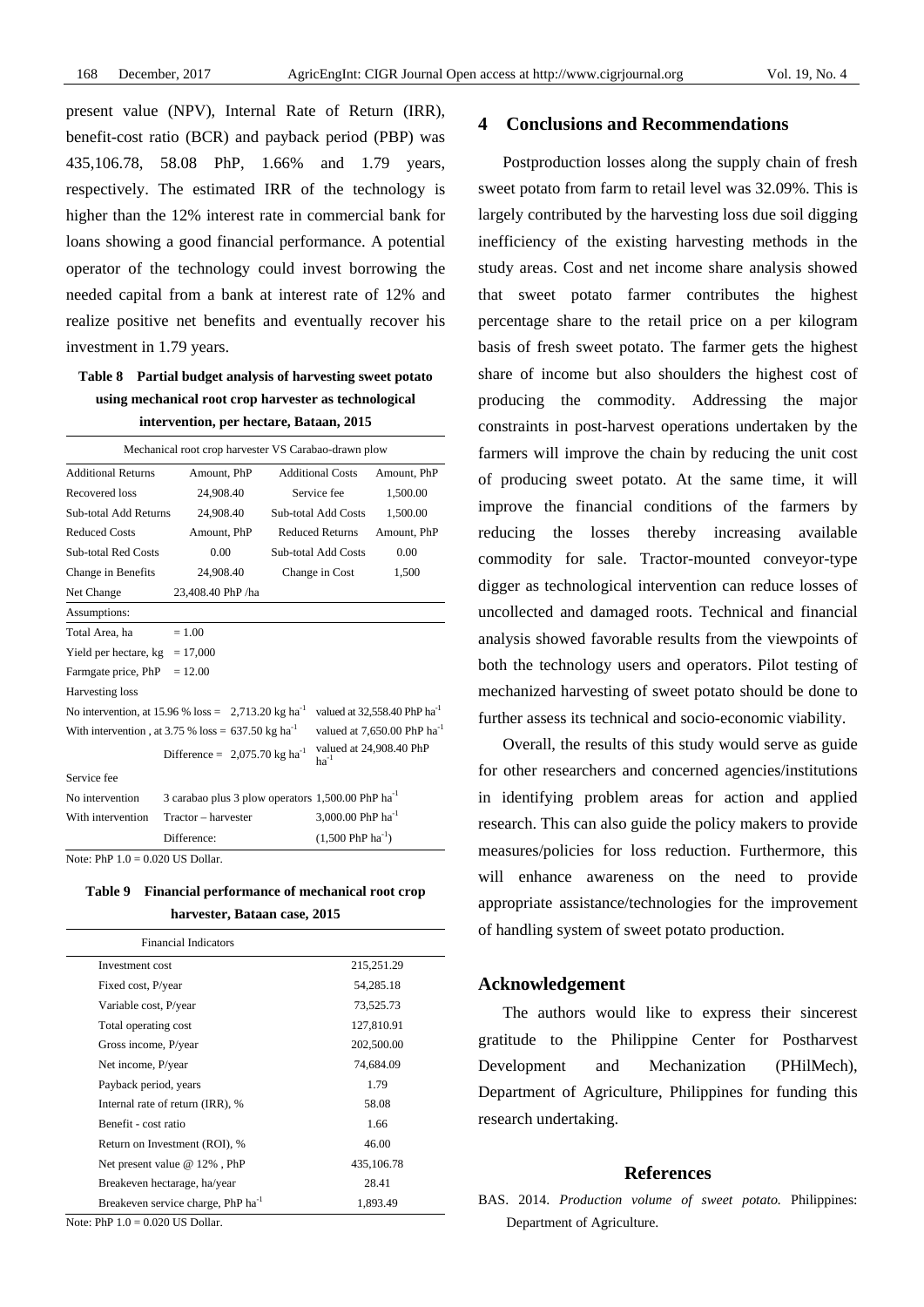present value (NPV), Internal Rate of Return (IRR), benefit-cost ratio (BCR) and payback period (PBP) was 435,106.78, 58.08 PhP, 1.66% and 1.79 years, respectively. The estimated IRR of the technology is higher than the 12% interest rate in commercial bank for loans showing a good financial performance. A potential operator of the technology could invest borrowing the needed capital from a bank at interest rate of 12% and realize positive net benefits and eventually recover his investment in 1.79 years.

## **Table 8 Partial budget analysis of harvesting sweet potato using mechanical root crop harvester as technological intervention, per hectare, Bataan, 2015**

| Mechanical root crop harvester VS Carabao-drawn plow                                                                                                                     |                                                                   |                         |                               |                                          |
|--------------------------------------------------------------------------------------------------------------------------------------------------------------------------|-------------------------------------------------------------------|-------------------------|-------------------------------|------------------------------------------|
| <b>Additional Returns</b>                                                                                                                                                | Amount, PhP                                                       | <b>Additional Costs</b> |                               | Amount, PhP                              |
| Recovered loss                                                                                                                                                           | 24,908.40                                                         |                         | Service fee                   | 1,500.00                                 |
| Sub-total Add Returns                                                                                                                                                    | 24,908.40                                                         |                         | <b>Sub-total Add Costs</b>    | 1,500.00                                 |
| <b>Reduced Costs</b>                                                                                                                                                     | Amount, PhP                                                       |                         | <b>Reduced Returns</b>        | Amount, PhP                              |
| <b>Sub-total Red Costs</b>                                                                                                                                               | 0.00                                                              |                         | <b>Sub-total Add Costs</b>    | 0.00                                     |
| Change in Benefits                                                                                                                                                       | 24,908.40                                                         |                         | Change in Cost                | 1,500                                    |
| Net Change                                                                                                                                                               | 23,408.40 PhP /ha                                                 |                         |                               |                                          |
| Assumptions:                                                                                                                                                             |                                                                   |                         |                               |                                          |
| Total Area, ha                                                                                                                                                           | $= 1.00$                                                          |                         |                               |                                          |
| Yield per hectare, kg                                                                                                                                                    | $= 17,000$                                                        |                         |                               |                                          |
| Farmgate price, PhP                                                                                                                                                      | $= 12.00$                                                         |                         |                               |                                          |
| Harvesting loss                                                                                                                                                          |                                                                   |                         |                               |                                          |
|                                                                                                                                                                          | No intervention, at 15.96 % loss = $2,713.20$ kg ha <sup>-1</sup> |                         |                               | valued at 32,558.40 PhP ha <sup>-1</sup> |
|                                                                                                                                                                          | With intervention, at 3.75 % loss = $637.50$ kg ha <sup>-1</sup>  |                         |                               | valued at 7,650.00 PhP ha <sup>-1</sup>  |
|                                                                                                                                                                          | Difference = $2,075.70$ kg ha <sup>-1</sup>                       |                         | $ha^{-1}$                     | valued at 24,908.40 PhP                  |
| Service fee                                                                                                                                                              |                                                                   |                         |                               |                                          |
| No intervention                                                                                                                                                          | 3 carabao plus 3 plow operators 1,500.00 PhP ha <sup>-1</sup>     |                         |                               |                                          |
| With intervention                                                                                                                                                        | Tractor - harvester                                               |                         | 3,000.00 PhP $ha^{-1}$        |                                          |
|                                                                                                                                                                          | Difference:                                                       |                         | $(1,500 \text{ PhP ha}^{-1})$ |                                          |
| $\mathbf{M}$ $\mathbf{N}$ $\mathbf{N}$ $\mathbf{N}$ $\mathbf{A}$ $\mathbf{A}$ $\mathbf{A}$ $\mathbf{A}$ $\mathbf{A}$ $\mathbf{A}$ $\mathbf{N}$ $\mathbf{N}$ $\mathbf{M}$ |                                                                   |                         |                               |                                          |

Note: PhP 1.0 = 0.020 US Dollar.

| Table 9 Financial performance of mechanical root crop |
|-------------------------------------------------------|
| harvester, Bataan case, 2015                          |

| <b>Financial Indicators</b>                    |            |
|------------------------------------------------|------------|
| Investment cost                                | 215,251.29 |
| Fixed cost, P/year                             | 54,285.18  |
| Variable cost, P/year                          | 73,525.73  |
| Total operating cost                           | 127,810.91 |
| Gross income, P/year                           | 202,500.00 |
| Net income, P/year                             | 74,684.09  |
| Payback period, years                          | 1.79       |
| Internal rate of return (IRR), %               | 58.08      |
| Benefit - cost ratio                           | 1.66       |
| Return on Investment (ROI), %                  | 46.00      |
| Net present value $@12\%$ , PhP                | 435,106.78 |
| Breakeven hectarage, ha/year                   | 28.41      |
| Breakeven service charge, PhP ha <sup>-1</sup> | 1.893.49   |

Note: PhP 1.0 = 0.020 US Dollar.

#### **4 Conclusions and Recommendations**

Postproduction losses along the supply chain of fresh sweet potato from farm to retail level was 32.09%. This is largely contributed by the harvesting loss due soil digging inefficiency of the existing harvesting methods in the study areas. Cost and net income share analysis showed that sweet potato farmer contributes the highest percentage share to the retail price on a per kilogram basis of fresh sweet potato. The farmer gets the highest share of income but also shoulders the highest cost of producing the commodity. Addressing the major constraints in post-harvest operations undertaken by the farmers will improve the chain by reducing the unit cost of producing sweet potato. At the same time, it will improve the financial conditions of the farmers by reducing the losses thereby increasing available commodity for sale. Tractor-mounted conveyor-type digger as technological intervention can reduce losses of uncollected and damaged roots. Technical and financial analysis showed favorable results from the viewpoints of both the technology users and operators. Pilot testing of mechanized harvesting of sweet potato should be done to further assess its technical and socio-economic viability.

Overall, the results of this study would serve as guide for other researchers and concerned agencies/institutions in identifying problem areas for action and applied research. This can also guide the policy makers to provide measures/policies for loss reduction. Furthermore, this will enhance awareness on the need to provide appropriate assistance/technologies for the improvement of handling system of sweet potato production.

#### **Acknowledgement**

The authors would like to express their sincerest gratitude to the Philippine Center for Postharvest Development and Mechanization (PHilMech), Department of Agriculture, Philippines for funding this research undertaking.

#### **References**

BAS. 2014. *Production volume of sweet potato.* Philippines: Department of Agriculture.